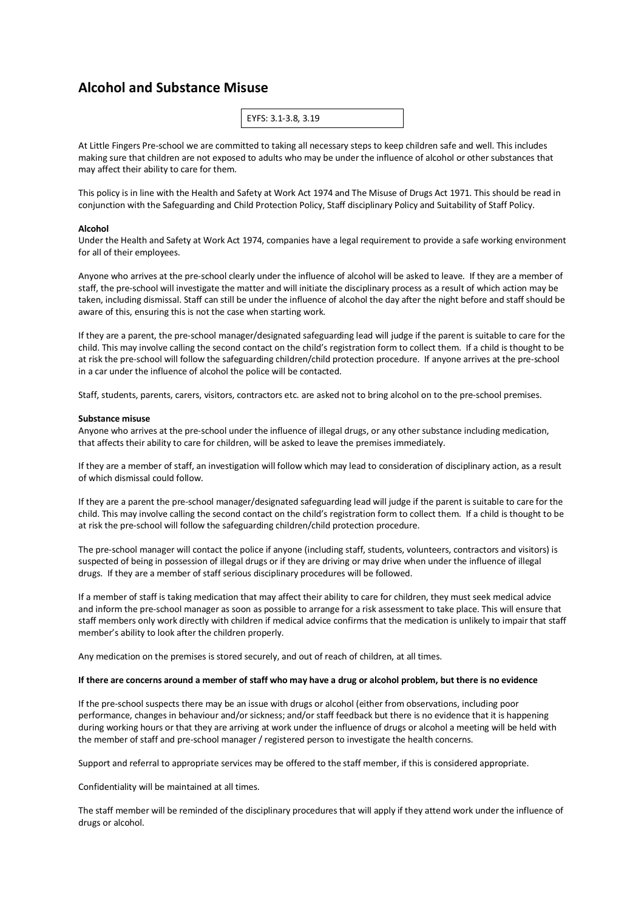# **Alcohol and Substance Misuse**

| EYFS: 3.1-3.8, 3.19 |
|---------------------|
|---------------------|

At Little Fingers Pre-school we are committed to taking all necessary steps to keep children safe and well. This includes making sure that children are not exposed to adults who may be under the influence of alcohol or other substances that may affect their ability to care for them.

This policy is in line with the Health and Safety at Work Act 1974 and The Misuse of Drugs Act 1971. This should be read in conjunction with the Safeguarding and Child Protection Policy, Staff disciplinary Policy and Suitability of Staff Policy.

#### **Alcohol**

Under the Health and Safety at Work Act 1974, companies have a legal requirement to provide a safe working environment for all of their employees.

Anyone who arrives at the pre-school clearly under the influence of alcohol will be asked to leave. If they are a member of staff, the pre-school will investigate the matter and will initiate the disciplinary process as a result of which action may be taken, including dismissal. Staff can still be under the influence of alcohol the day after the night before and staff should be aware of this, ensuring this is not the case when starting work.

If they are a parent, the pre-school manager/designated safeguarding lead will judge if the parent is suitable to care for the child. This may involve calling the second contact on the child's registration form to collect them. If a child is thought to be at risk the pre-school will follow the safeguarding children/child protection procedure. If anyone arrives at the pre-school in a car under the influence of alcohol the police will be contacted.

Staff, students, parents, carers, visitors, contractors etc. are asked not to bring alcohol on to the pre-school premises.

### **Substance misuse**

Anyone who arrives at the pre-school under the influence of illegal drugs, or any other substance including medication, that affects their ability to care for children, will be asked to leave the premises immediately.

If they are a member of staff, an investigation will follow which may lead to consideration of disciplinary action, as a result of which dismissal could follow.

If they are a parent the pre-school manager/designated safeguarding lead will judge if the parent is suitable to care for the child. This may involve calling the second contact on the child's registration form to collect them. If a child is thought to be at risk the pre-school will follow the safeguarding children/child protection procedure.

The pre-school manager will contact the police if anyone (including staff, students, volunteers, contractors and visitors) is suspected of being in possession of illegal drugs or if they are driving or may drive when under the influence of illegal drugs. If they are a member of staff serious disciplinary procedures will be followed.

If a member of staff is taking medication that may affect their ability to care for children, they must seek medical advice and inform the pre-school manager as soon as possible to arrange for a risk assessment to take place. This will ensure that staff members only work directly with children if medical advice confirms that the medication is unlikely to impair that staff member's ability to look after the children properly.

Any medication on the premises is stored securely, and out of reach of children, at all times.

### **If there are concerns around a member of staff who may have a drug or alcohol problem, but there is no evidence**

If the pre-school suspects there may be an issue with drugs or alcohol (either from observations, including poor performance, changes in behaviour and/or sickness; and/or staff feedback but there is no evidence that it is happening during working hours or that they are arriving at work under the influence of drugs or alcohol a meeting will be held with the member of staff and pre-school manager / registered person to investigate the health concerns.

Support and referral to appropriate services may be offered to the staff member, if this is considered appropriate.

Confidentiality will be maintained at all times.

The staff member will be reminded of the disciplinary procedures that will apply if they attend work under the influence of drugs or alcohol.